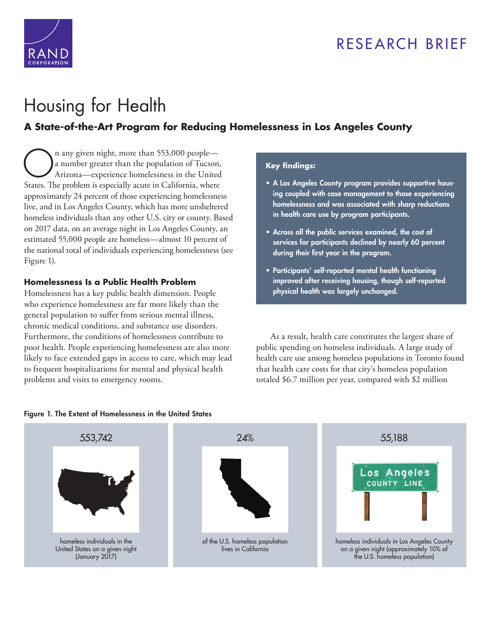## RESEARCH BRIEF



# Housing for Health

### **[A State-of-the-Art Program for Reducing Homelessness in Los Angeles County](https://www.rand.org/pubs/research_briefs/RB10000.html)**

n any given night, more than 553,000 peoplea number greater than the population of Tucson, Arizona—experience homelessness in the United States. The problem is especially acute in California, where approximately 24 percent of those experiencing homelessness live, and in Los Angeles County, which has more unsheltered homeless individuals than any other U.S. city or county. Based on 2017 data, on an average night in Los Angeles County, an estimated 55,000 people are homeless—almost 10 percent of the national total of individuals experiencing homelessness (see Figure 1).

#### **Homelessness Is a Public Health Problem**

Homelessness has a key public health dimension. People who experience homelessness are far more likely than the general population to suffer from serious mental illness, chronic medical conditions, and substance use disorders. Furthermore, the conditions of homelessness contribute to poor health. People experiencing homelessness are also more likely to face extended gaps in access to care, which may lead to frequent hospitalizations for mental and physical health problems and visits to emergency rooms.

#### **Key findings:**

- A Los Angeles County program provides supportive housing coupled with case management to those experiencing homelessness and was associated with sharp reductions in health care use by program participants.
- Across all the public services examined, the cost of services for participants declined by nearly 60 percent during their first year in the program.
- Participants' self-reported mental health functioning improved after receiving housing, though self-reported physical health was largely unchanged.

As a result, health care constitutes the largest share of public spending on homeless individuals. A large study of health care use among homeless populations in Toronto found that health care costs for that city's homeless population totaled \$6.7 million per year, compared with \$2 million



#### Figure 1. The Extent of Homelessness in the United States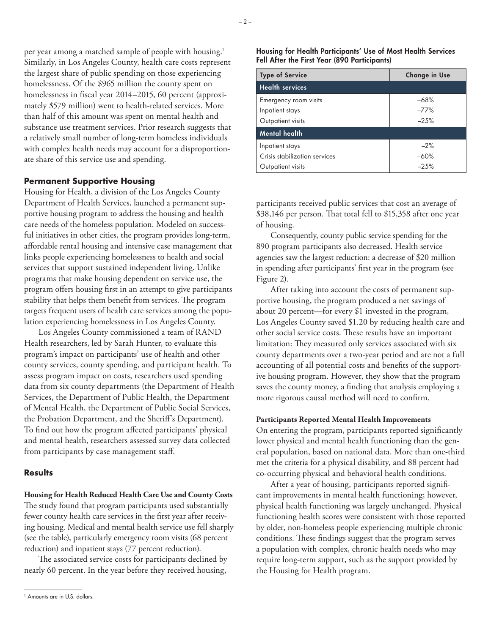per year among a matched sample of people with housing.<sup>1</sup> Similarly, in Los Angeles County, health care costs represent the largest share of public spending on those experiencing homelessness. Of the \$965 million the county spent on homelessness in fiscal year 2014–2015, 60 percent (approximately \$579 million) went to health-related services. More than half of this amount was spent on mental health and substance use treatment services. Prior research suggests that a relatively small number of long-term homeless individuals with complex health needs may account for a disproportionate share of this service use and spending.

#### **Permanent Supportive Housing**

Housing for Health, a division of the Los Angeles County Department of Health Services, launched a permanent supportive housing program to address the housing and health care needs of the homeless population. Modeled on successful initiatives in other cities, the program provides long-term, affordable rental housing and intensive case management that links people experiencing homelessness to health and social services that support sustained independent living. Unlike programs that make housing dependent on service use, the program offers housing first in an attempt to give participants stability that helps them benefit from services. The program targets frequent users of health care services among the population experiencing homelessness in Los Angeles County.

Los Angeles County commissioned a team of RAND Health researchers, led by Sarah Hunter, to evaluate this program's impact on participants' use of health and other county services, county spending, and participant health. To assess program impact on costs, researchers used spending data from six county departments (the Department of Health Services, the Department of Public Health, the Department of Mental Health, the Department of Public Social Services, the Probation Department, and the Sheriff's Department). To find out how the program affected participants' physical and mental health, researchers assessed survey data collected from participants by case management staff.

#### **Results**

**Housing for Health Reduced Health Care Use and County Costs**  The study found that program participants used substantially fewer county health care services in the first year after receiving housing. Medical and mental health service use fell sharply (see the table), particularly emergency room visits (68 percent reduction) and inpatient stays (77 percent reduction).

The associated service costs for participants declined by nearly 60 percent. In the year before they received housing,

#### Housing for Health Participants' Use of Most Health Services Fell After the First Year (890 Participants)

| <b>Type of Service</b>        | <b>Change in Use</b> |
|-------------------------------|----------------------|
| <b>Health services</b>        |                      |
| Emergency room visits         | $-68%$               |
| Inpatient stays               | $-77%$               |
| Outpatient visits             | $-25%$               |
| <b>Mental health</b>          |                      |
| Inpatient stays               | $-2%$                |
| Crisis stabilization services | $-60%$               |
| Outpatient visits             | $-25%$               |

participants received public services that cost an average of \$38,146 per person. That total fell to \$15,358 after one year of housing.

Consequently, county public service spending for the 890 program participants also decreased. Health service agencies saw the largest reduction: a decrease of \$20 million in spending after participants' first year in the program (see Figure 2).

After taking into account the costs of permanent supportive housing, the program produced a net savings of about 20 percent—for every \$1 invested in the program, Los Angeles County saved \$1.20 by reducing health care and other social service costs. These results have an important limitation: They measured only services associated with six county departments over a two-year period and are not a full accounting of all potential costs and benefits of the supportive housing program. However, they show that the program saves the county money, a finding that analysis employing a more rigorous causal method will need to confirm.

#### **Participants Reported Mental Health Improvements**

On entering the program, participants reported significantly lower physical and mental health functioning than the general population, based on national data. More than one-third met the criteria for a physical disability, and 88 percent had co-occurring physical and behavioral health conditions.

After a year of housing, participants reported significant improvements in mental health functioning; however, physical health functioning was largely unchanged. Physical functioning health scores were consistent with those reported by older, non-homeless people experiencing multiple chronic conditions. These findings suggest that the program serves a population with complex, chronic health needs who may require long-term support, such as the support provided by the Housing for Health program.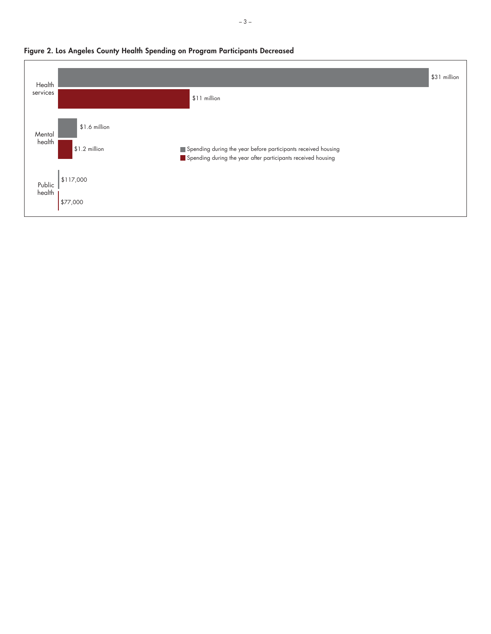

#### **Figure 2. Los Angeles County Health Spending on Program Participants Decreased**